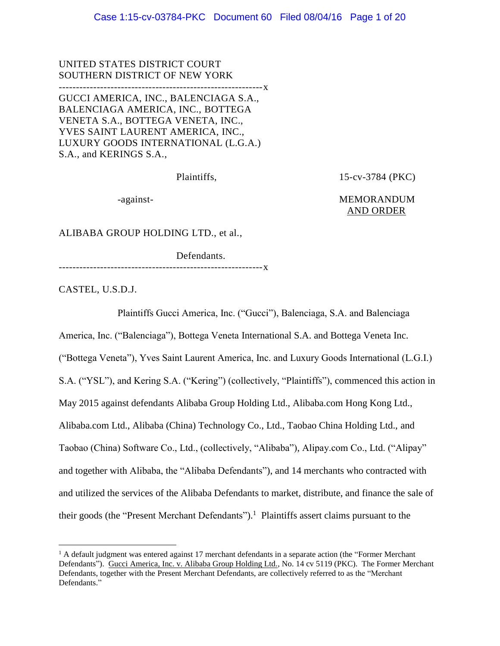UNITED STATES DISTRICT COURT SOUTHERN DISTRICT OF NEW YORK -----------------------------------------------------------x GUCCI AMERICA, INC., BALENCIAGA S.A., BALENCIAGA AMERICA, INC., BOTTEGA VENETA S.A., BOTTEGA VENETA, INC., YVES SAINT LAURENT AMERICA, INC., LUXURY GOODS INTERNATIONAL (L.G.A.) S.A., and KERINGS S.A.,

Plaintiffs, 15-cv-3784 (PKC)

# -against-<br>
MEMORANDUM AND ORDER

ALIBABA GROUP HOLDING LTD., et al.,

Defendants. -----------------------------------------------------------x

CASTEL, U.S.D.J.

 $\overline{a}$ 

Plaintiffs Gucci America, Inc. ("Gucci"), Balenciaga, S.A. and Balenciaga

America, Inc. ("Balenciaga"), Bottega Veneta International S.A. and Bottega Veneta Inc. ("Bottega Veneta"), Yves Saint Laurent America, Inc. and Luxury Goods International (L.G.I.) S.A. ("YSL"), and Kering S.A. ("Kering") (collectively, "Plaintiffs"), commenced this action in May 2015 against defendants Alibaba Group Holding Ltd., Alibaba.com Hong Kong Ltd., Alibaba.com Ltd., Alibaba (China) Technology Co., Ltd., Taobao China Holding Ltd., and Taobao (China) Software Co., Ltd., (collectively, "Alibaba"), Alipay.com Co., Ltd. ("Alipay" and together with Alibaba, the "Alibaba Defendants"), and 14 merchants who contracted with and utilized the services of the Alibaba Defendants to market, distribute, and finance the sale of their goods (the "Present Merchant Defendants").<sup>1</sup> Plaintiffs assert claims pursuant to the

 $1$  A default judgment was entered against 17 merchant defendants in a separate action (the "Former Merchant" Defendants"). Gucci America, Inc. v. Alibaba Group Holding Ltd., No. 14 cv 5119 (PKC). The Former Merchant Defendants, together with the Present Merchant Defendants, are collectively referred to as the "Merchant Defendants."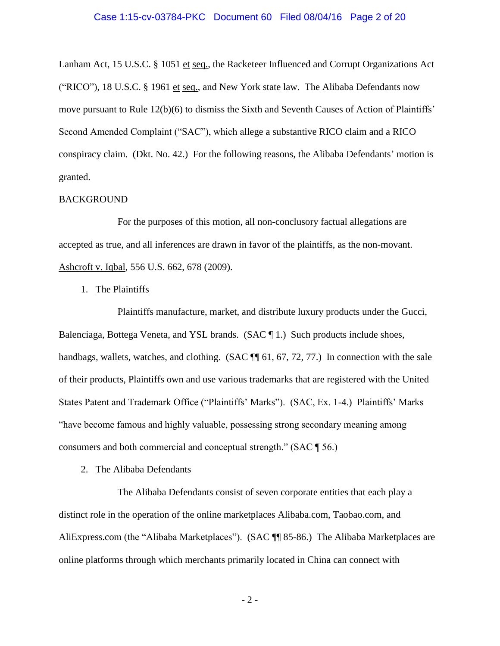## Case 1:15-cv-03784-PKC Document 60 Filed 08/04/16 Page 2 of 20

Lanham Act, 15 U.S.C. § 1051 et seq., the Racketeer Influenced and Corrupt Organizations Act ("RICO"), 18 U.S.C. § 1961 et seq., and New York state law. The Alibaba Defendants now move pursuant to Rule 12(b)(6) to dismiss the Sixth and Seventh Causes of Action of Plaintiffs' Second Amended Complaint ("SAC"), which allege a substantive RICO claim and a RICO conspiracy claim. (Dkt. No. 42.) For the following reasons, the Alibaba Defendants' motion is granted.

## BACKGROUND

For the purposes of this motion, all non-conclusory factual allegations are accepted as true, and all inferences are drawn in favor of the plaintiffs, as the non-movant. Ashcroft v. Iqbal, 556 U.S. 662, 678 (2009).

## 1. The Plaintiffs

Plaintiffs manufacture, market, and distribute luxury products under the Gucci, Balenciaga, Bottega Veneta, and YSL brands. (SAC ¶ 1.) Such products include shoes, handbags, wallets, watches, and clothing. (SAC  $\P$  61, 67, 72, 77.) In connection with the sale of their products, Plaintiffs own and use various trademarks that are registered with the United States Patent and Trademark Office ("Plaintiffs' Marks"). (SAC, Ex. 1-4.) Plaintiffs' Marks "have become famous and highly valuable, possessing strong secondary meaning among consumers and both commercial and conceptual strength." (SAC ¶ 56.)

#### 2. The Alibaba Defendants

The Alibaba Defendants consist of seven corporate entities that each play a distinct role in the operation of the online marketplaces Alibaba.com, Taobao.com, and AliExpress.com (the "Alibaba Marketplaces"). (SAC ¶¶ 85-86.) The Alibaba Marketplaces are online platforms through which merchants primarily located in China can connect with

- 2 -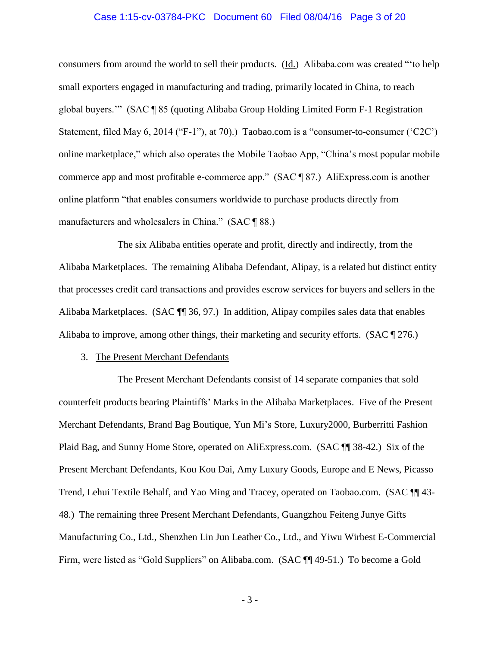## Case 1:15-cv-03784-PKC Document 60 Filed 08/04/16 Page 3 of 20

consumers from around the world to sell their products. (Id.) Alibaba.com was created "'to help small exporters engaged in manufacturing and trading, primarily located in China, to reach global buyers.'" (SAC ¶ 85 (quoting Alibaba Group Holding Limited Form F-1 Registration Statement, filed May 6, 2014 ("F-1"), at 70).) Taobao.com is a "consumer-to-consumer ('C2C') online marketplace," which also operates the Mobile Taobao App, "China's most popular mobile commerce app and most profitable e-commerce app." (SAC ¶ 87.) AliExpress.com is another online platform "that enables consumers worldwide to purchase products directly from manufacturers and wholesalers in China." (SAC ¶ 88.)

The six Alibaba entities operate and profit, directly and indirectly, from the Alibaba Marketplaces. The remaining Alibaba Defendant, Alipay, is a related but distinct entity that processes credit card transactions and provides escrow services for buyers and sellers in the Alibaba Marketplaces. (SAC ¶¶ 36, 97.) In addition, Alipay compiles sales data that enables Alibaba to improve, among other things, their marketing and security efforts. (SAC ¶ 276.)

## 3. The Present Merchant Defendants

The Present Merchant Defendants consist of 14 separate companies that sold counterfeit products bearing Plaintiffs' Marks in the Alibaba Marketplaces. Five of the Present Merchant Defendants, Brand Bag Boutique, Yun Mi's Store, Luxury2000, Burberritti Fashion Plaid Bag, and Sunny Home Store, operated on AliExpress.com. (SAC ¶¶ 38-42.) Six of the Present Merchant Defendants, Kou Kou Dai, Amy Luxury Goods, Europe and E News, Picasso Trend, Lehui Textile Behalf, and Yao Ming and Tracey, operated on Taobao.com. (SAC ¶¶ 43- 48.) The remaining three Present Merchant Defendants, Guangzhou Feiteng Junye Gifts Manufacturing Co., Ltd., Shenzhen Lin Jun Leather Co., Ltd., and Yiwu Wirbest E-Commercial Firm, were listed as "Gold Suppliers" on Alibaba.com. (SAC ¶¶ 49-51.) To become a Gold

- 3 -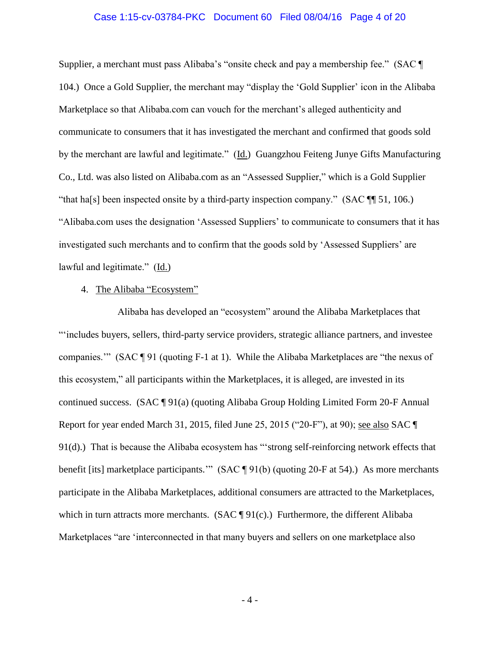## Case 1:15-cv-03784-PKC Document 60 Filed 08/04/16 Page 4 of 20

Supplier, a merchant must pass Alibaba's "onsite check and pay a membership fee." (SAC ¶ 104.) Once a Gold Supplier, the merchant may "display the 'Gold Supplier' icon in the Alibaba Marketplace so that Alibaba.com can vouch for the merchant's alleged authenticity and communicate to consumers that it has investigated the merchant and confirmed that goods sold by the merchant are lawful and legitimate." (Id.) Guangzhou Feiteng Junye Gifts Manufacturing Co., Ltd. was also listed on Alibaba.com as an "Assessed Supplier," which is a Gold Supplier "that ha[s] been inspected onsite by a third-party inspection company." (SAC ¶¶ 51, 106.) "Alibaba.com uses the designation 'Assessed Suppliers' to communicate to consumers that it has investigated such merchants and to confirm that the goods sold by 'Assessed Suppliers' are lawful and legitimate." (Id.)

## 4. The Alibaba "Ecosystem"

Alibaba has developed an "ecosystem" around the Alibaba Marketplaces that "'includes buyers, sellers, third-party service providers, strategic alliance partners, and investee companies.'" (SAC ¶ 91 (quoting F-1 at 1). While the Alibaba Marketplaces are "the nexus of this ecosystem," all participants within the Marketplaces, it is alleged, are invested in its continued success. (SAC ¶ 91(a) (quoting Alibaba Group Holding Limited Form 20-F Annual Report for year ended March 31, 2015, filed June 25, 2015 ("20-F"), at 90); see also SAC ¶ 91(d).) That is because the Alibaba ecosystem has "'strong self-reinforcing network effects that benefit [its] marketplace participants.'" (SAC ¶ 91(b) (quoting 20-F at 54).) As more merchants participate in the Alibaba Marketplaces, additional consumers are attracted to the Marketplaces, which in turn attracts more merchants.  $(SAC \P 91(c))$  Furthermore, the different Alibaba Marketplaces "are 'interconnected in that many buyers and sellers on one marketplace also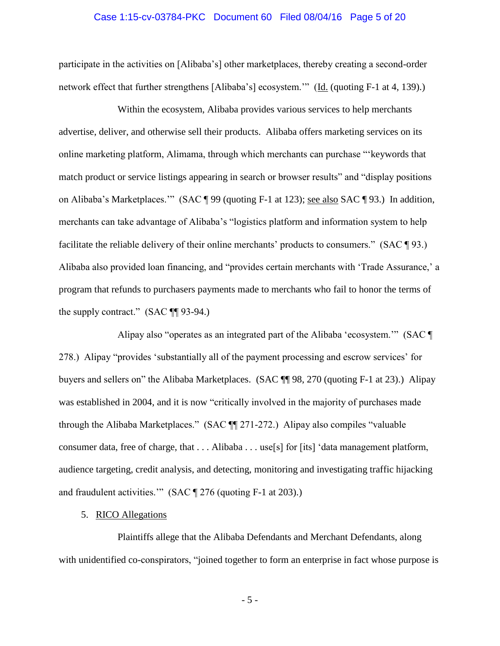## Case 1:15-cv-03784-PKC Document 60 Filed 08/04/16 Page 5 of 20

participate in the activities on [Alibaba's] other marketplaces, thereby creating a second-order network effect that further strengthens [Alibaba's] ecosystem.'" (Id. (quoting F-1 at 4, 139).)

Within the ecosystem, Alibaba provides various services to help merchants advertise, deliver, and otherwise sell their products. Alibaba offers marketing services on its online marketing platform, Alimama, through which merchants can purchase "'keywords that match product or service listings appearing in search or browser results" and "display positions on Alibaba's Marketplaces.'" (SAC ¶ 99 (quoting F-1 at 123); see also SAC ¶ 93.) In addition, merchants can take advantage of Alibaba's "logistics platform and information system to help facilitate the reliable delivery of their online merchants' products to consumers." (SAC ¶ 93.) Alibaba also provided loan financing, and "provides certain merchants with 'Trade Assurance,' a program that refunds to purchasers payments made to merchants who fail to honor the terms of the supply contract." (SAC ¶¶ 93-94.)

Alipay also "operates as an integrated part of the Alibaba 'ecosystem.'" (SAC ¶ 278.) Alipay "provides 'substantially all of the payment processing and escrow services' for buyers and sellers on" the Alibaba Marketplaces. (SAC ¶¶ 98, 270 (quoting F-1 at 23).) Alipay was established in 2004, and it is now "critically involved in the majority of purchases made through the Alibaba Marketplaces." (SAC ¶¶ 271-272.) Alipay also compiles "valuable consumer data, free of charge, that . . . Alibaba . . . use[s] for [its] 'data management platform, audience targeting, credit analysis, and detecting, monitoring and investigating traffic hijacking and fraudulent activities.'" (SAC ¶ 276 (quoting F-1 at 203).)

# 5. RICO Allegations

Plaintiffs allege that the Alibaba Defendants and Merchant Defendants, along with unidentified co-conspirators, "joined together to form an enterprise in fact whose purpose is

- 5 -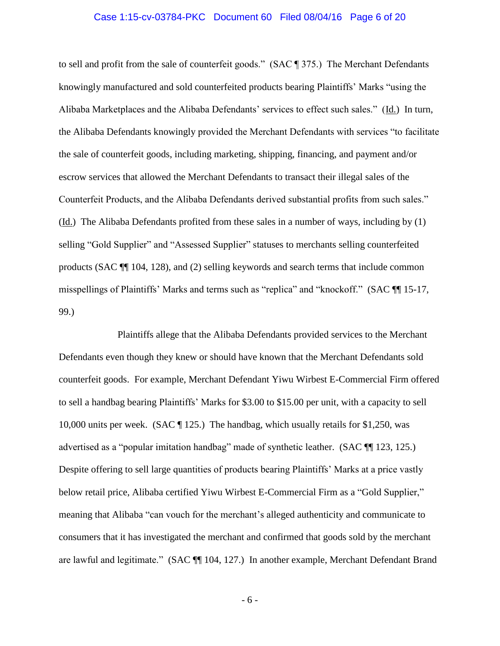## Case 1:15-cv-03784-PKC Document 60 Filed 08/04/16 Page 6 of 20

to sell and profit from the sale of counterfeit goods." (SAC ¶ 375.) The Merchant Defendants knowingly manufactured and sold counterfeited products bearing Plaintiffs' Marks "using the Alibaba Marketplaces and the Alibaba Defendants' services to effect such sales." (Id.) In turn, the Alibaba Defendants knowingly provided the Merchant Defendants with services "to facilitate the sale of counterfeit goods, including marketing, shipping, financing, and payment and/or escrow services that allowed the Merchant Defendants to transact their illegal sales of the Counterfeit Products, and the Alibaba Defendants derived substantial profits from such sales." (Id.) The Alibaba Defendants profited from these sales in a number of ways, including by (1) selling "Gold Supplier" and "Assessed Supplier" statuses to merchants selling counterfeited products (SAC ¶¶ 104, 128), and (2) selling keywords and search terms that include common misspellings of Plaintiffs' Marks and terms such as "replica" and "knockoff." (SAC ¶¶ 15-17, 99.)

Plaintiffs allege that the Alibaba Defendants provided services to the Merchant Defendants even though they knew or should have known that the Merchant Defendants sold counterfeit goods. For example, Merchant Defendant Yiwu Wirbest E-Commercial Firm offered to sell a handbag bearing Plaintiffs' Marks for \$3.00 to \$15.00 per unit, with a capacity to sell 10,000 units per week. (SAC ¶ 125.) The handbag, which usually retails for \$1,250, was advertised as a "popular imitation handbag" made of synthetic leather. (SAC ¶¶ 123, 125.) Despite offering to sell large quantities of products bearing Plaintiffs' Marks at a price vastly below retail price, Alibaba certified Yiwu Wirbest E-Commercial Firm as a "Gold Supplier," meaning that Alibaba "can vouch for the merchant's alleged authenticity and communicate to consumers that it has investigated the merchant and confirmed that goods sold by the merchant are lawful and legitimate." (SAC ¶¶ 104, 127.) In another example, Merchant Defendant Brand

- 6 -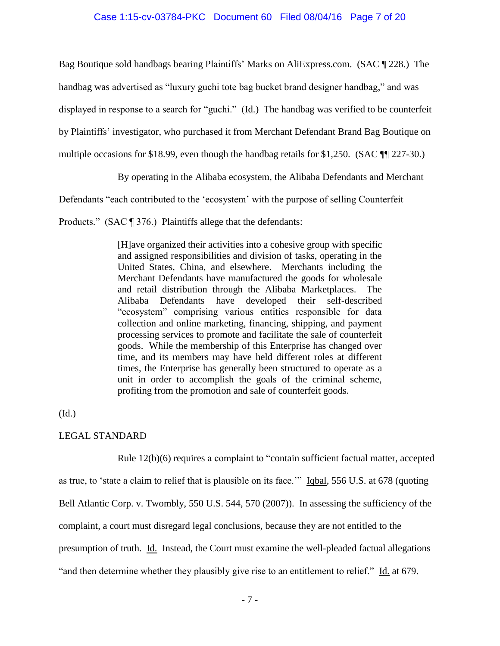# Case 1:15-cv-03784-PKC Document 60 Filed 08/04/16 Page 7 of 20

Bag Boutique sold handbags bearing Plaintiffs' Marks on AliExpress.com. (SAC ¶ 228.) The

handbag was advertised as "luxury guchi tote bag bucket brand designer handbag," and was

displayed in response to a search for "guchi." (Id.) The handbag was verified to be counterfeit

by Plaintiffs' investigator, who purchased it from Merchant Defendant Brand Bag Boutique on

multiple occasions for \$18.99, even though the handbag retails for \$1,250. (SAC  $\P$  227-30.)

By operating in the Alibaba ecosystem, the Alibaba Defendants and Merchant

Defendants "each contributed to the 'ecosystem' with the purpose of selling Counterfeit

Products." (SAC ¶ 376.) Plaintiffs allege that the defendants:

[H]ave organized their activities into a cohesive group with specific and assigned responsibilities and division of tasks, operating in the United States, China, and elsewhere. Merchants including the Merchant Defendants have manufactured the goods for wholesale and retail distribution through the Alibaba Marketplaces. The Alibaba Defendants have developed their self-described "ecosystem" comprising various entities responsible for data collection and online marketing, financing, shipping, and payment processing services to promote and facilitate the sale of counterfeit goods. While the membership of this Enterprise has changed over time, and its members may have held different roles at different times, the Enterprise has generally been structured to operate as a unit in order to accomplish the goals of the criminal scheme, profiting from the promotion and sale of counterfeit goods.

## (Id.)

# LEGAL STANDARD

Rule 12(b)(6) requires a complaint to "contain sufficient factual matter, accepted

as true, to 'state a claim to relief that is plausible on its face.'" Iqbal, 556 U.S. at 678 (quoting

Bell Atlantic Corp. v. Twombly, 550 U.S. 544, 570 (2007)). In assessing the sufficiency of the

complaint, a court must disregard legal conclusions, because they are not entitled to the

presumption of truth. Id. Instead, the Court must examine the well-pleaded factual allegations

"and then determine whether they plausibly give rise to an entitlement to relief." Id. at 679.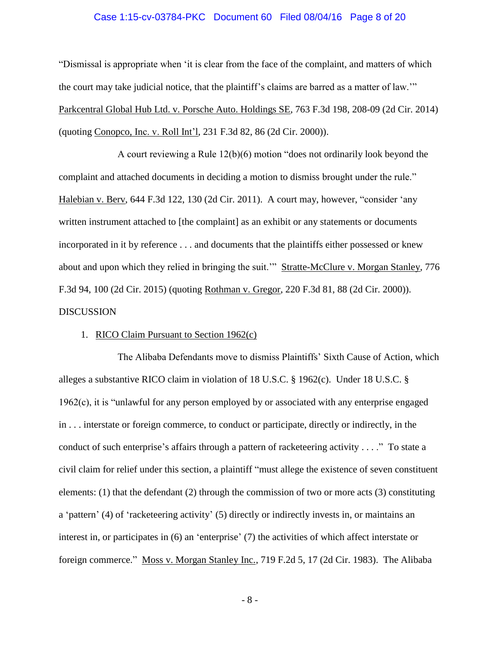## Case 1:15-cv-03784-PKC Document 60 Filed 08/04/16 Page 8 of 20

"Dismissal is appropriate when 'it is clear from the face of the complaint, and matters of which the court may take judicial notice, that the plaintiff's claims are barred as a matter of law.'" Parkcentral Global Hub Ltd. v. Porsche Auto. Holdings SE, 763 F.3d 198, 208-09 (2d Cir. 2014) (quoting Conopco, Inc. v. Roll Int'l, 231 F.3d 82, 86 (2d Cir. 2000)).

A court reviewing a Rule 12(b)(6) motion "does not ordinarily look beyond the complaint and attached documents in deciding a motion to dismiss brought under the rule." Halebian v. Berv, 644 F.3d 122, 130 (2d Cir. 2011). A court may, however, "consider 'any written instrument attached to [the complaint] as an exhibit or any statements or documents incorporated in it by reference . . . and documents that the plaintiffs either possessed or knew about and upon which they relied in bringing the suit.'" Stratte-McClure v. Morgan Stanley, 776 F.3d 94, 100 (2d Cir. 2015) (quoting Rothman v. Gregor, 220 F.3d 81, 88 (2d Cir. 2000)). **DISCUSSION** 

## 1. RICO Claim Pursuant to Section 1962(c)

The Alibaba Defendants move to dismiss Plaintiffs' Sixth Cause of Action, which alleges a substantive RICO claim in violation of 18 U.S.C. § 1962(c). Under 18 U.S.C. § 1962(c), it is "unlawful for any person employed by or associated with any enterprise engaged in . . . interstate or foreign commerce, to conduct or participate, directly or indirectly, in the conduct of such enterprise's affairs through a pattern of racketeering activity . . . ." To state a civil claim for relief under this section, a plaintiff "must allege the existence of seven constituent elements:  $(1)$  that the defendant  $(2)$  through the commission of two or more acts  $(3)$  constituting a 'pattern' (4) of 'racketeering activity' (5) directly or indirectly invests in, or maintains an interest in, or participates in (6) an 'enterprise' (7) the activities of which affect interstate or foreign commerce." Moss v. Morgan Stanley Inc., 719 F.2d 5, 17 (2d Cir. 1983). The Alibaba

- 8 -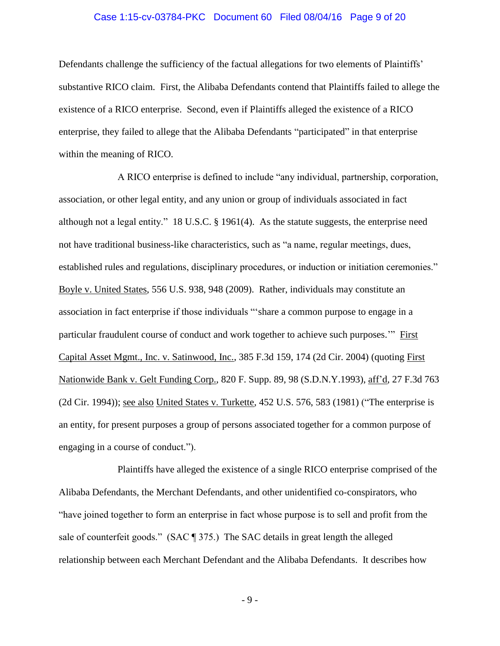## Case 1:15-cv-03784-PKC Document 60 Filed 08/04/16 Page 9 of 20

Defendants challenge the sufficiency of the factual allegations for two elements of Plaintiffs' substantive RICO claim. First, the Alibaba Defendants contend that Plaintiffs failed to allege the existence of a RICO enterprise. Second, even if Plaintiffs alleged the existence of a RICO enterprise, they failed to allege that the Alibaba Defendants "participated" in that enterprise within the meaning of RICO.

A RICO enterprise is defined to include "any individual, partnership, corporation, association, or other legal entity, and any union or group of individuals associated in fact although not a legal entity." 18 U.S.C.  $\S$  1961(4). As the statute suggests, the enterprise need not have traditional business-like characteristics, such as "a name, regular meetings, dues, established rules and regulations, disciplinary procedures, or induction or initiation ceremonies." Boyle v. United States, 556 U.S. 938, 948 (2009). Rather, individuals may constitute an association in fact enterprise if those individuals "'share a common purpose to engage in a particular fraudulent course of conduct and work together to achieve such purposes." First Capital Asset Mgmt., Inc. v. Satinwood, Inc., 385 F.3d 159, 174 (2d Cir. 2004) (quoting First Nationwide Bank v. Gelt Funding Corp., 820 F. Supp. 89, 98 (S.D.N.Y.1993), aff'd, 27 F.3d 763 (2d Cir. 1994)); see also United States v. Turkette, 452 U.S. 576, 583 (1981) ("The enterprise is an entity, for present purposes a group of persons associated together for a common purpose of engaging in a course of conduct.").

Plaintiffs have alleged the existence of a single RICO enterprise comprised of the Alibaba Defendants, the Merchant Defendants, and other unidentified co-conspirators, who "have joined together to form an enterprise in fact whose purpose is to sell and profit from the sale of counterfeit goods." (SAC ¶ 375.) The SAC details in great length the alleged relationship between each Merchant Defendant and the Alibaba Defendants. It describes how

- 9 -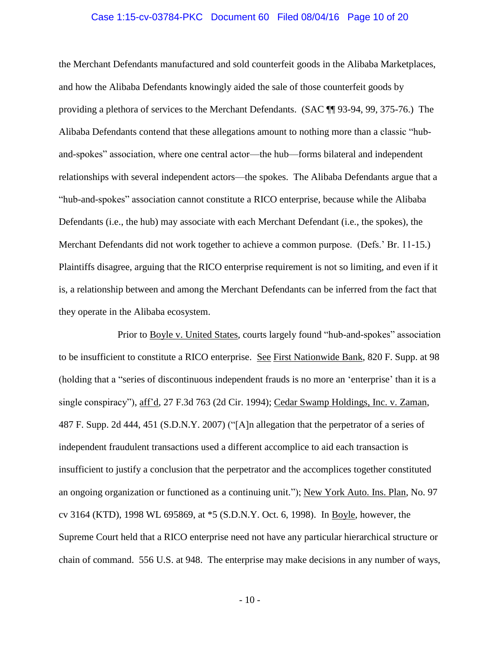## Case 1:15-cv-03784-PKC Document 60 Filed 08/04/16 Page 10 of 20

the Merchant Defendants manufactured and sold counterfeit goods in the Alibaba Marketplaces, and how the Alibaba Defendants knowingly aided the sale of those counterfeit goods by providing a plethora of services to the Merchant Defendants. (SAC ¶¶ 93-94, 99, 375-76.) The Alibaba Defendants contend that these allegations amount to nothing more than a classic "huband-spokes" association, where one central actor—the hub—forms bilateral and independent relationships with several independent actors—the spokes. The Alibaba Defendants argue that a "hub-and-spokes" association cannot constitute a RICO enterprise, because while the Alibaba Defendants (i.e., the hub) may associate with each Merchant Defendant (i.e., the spokes), the Merchant Defendants did not work together to achieve a common purpose. (Defs.' Br. 11-15.) Plaintiffs disagree, arguing that the RICO enterprise requirement is not so limiting, and even if it is, a relationship between and among the Merchant Defendants can be inferred from the fact that they operate in the Alibaba ecosystem.

Prior to Boyle v. United States, courts largely found "hub-and-spokes" association to be insufficient to constitute a RICO enterprise. See First Nationwide Bank, 820 F. Supp. at 98 (holding that a "series of discontinuous independent frauds is no more an 'enterprise' than it is a single conspiracy"), aff'd, 27 F.3d 763 (2d Cir. 1994); Cedar Swamp Holdings, Inc. v. Zaman, 487 F. Supp. 2d 444, 451 (S.D.N.Y. 2007) ("[A]n allegation that the perpetrator of a series of independent fraudulent transactions used a different accomplice to aid each transaction is insufficient to justify a conclusion that the perpetrator and the accomplices together constituted an ongoing organization or functioned as a continuing unit."); New York Auto. Ins. Plan, No. 97 cv 3164 (KTD), 1998 WL 695869, at \*5 (S.D.N.Y. Oct. 6, 1998). In Boyle, however, the Supreme Court held that a RICO enterprise need not have any particular hierarchical structure or chain of command. 556 U.S. at 948. The enterprise may make decisions in any number of ways,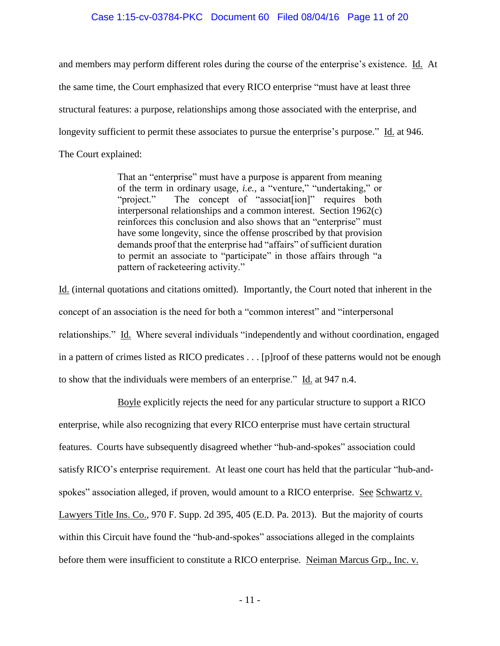# Case 1:15-cv-03784-PKC Document 60 Filed 08/04/16 Page 11 of 20

and members may perform different roles during the course of the enterprise's existence. Id. At the same time, the Court emphasized that every RICO enterprise "must have at least three structural features: a purpose, relationships among those associated with the enterprise, and longevity sufficient to permit these associates to pursue the enterprise's purpose." Id. at 946. The Court explained:

> That an "enterprise" must have a purpose is apparent from meaning of the term in ordinary usage, *i.e.,* a "venture," "undertaking," or "project." The concept of "associates ion" requires both interpersonal relationships and a common interest. Section 1962(c) reinforces this conclusion and also shows that an "enterprise" must have some longevity, since the offense proscribed by that provision demands proof that the enterprise had "affairs" of sufficient duration to permit an associate to "participate" in those affairs through "a pattern of racketeering activity."

Id. (internal quotations and citations omitted). Importantly, the Court noted that inherent in the concept of an association is the need for both a "common interest" and "interpersonal relationships." Id. Where several individuals "independently and without coordination, engaged in a pattern of crimes listed as RICO predicates . . . [p]roof of these patterns would not be enough to show that the individuals were members of an enterprise." Id. at 947 n.4.

Boyle explicitly rejects the need for any particular structure to support a RICO enterprise, while also recognizing that every RICO enterprise must have certain structural features. Courts have subsequently disagreed whether "hub-and-spokes" association could satisfy RICO's enterprise requirement. At least one court has held that the particular "hub-andspokes" association alleged, if proven, would amount to a RICO enterprise. See Schwartz v. Lawyers Title Ins. Co., 970 F. Supp. 2d 395, 405 (E.D. Pa. 2013). But the majority of courts within this Circuit have found the "hub-and-spokes" associations alleged in the complaints before them were insufficient to constitute a RICO enterprise. Neiman Marcus Grp., Inc. v.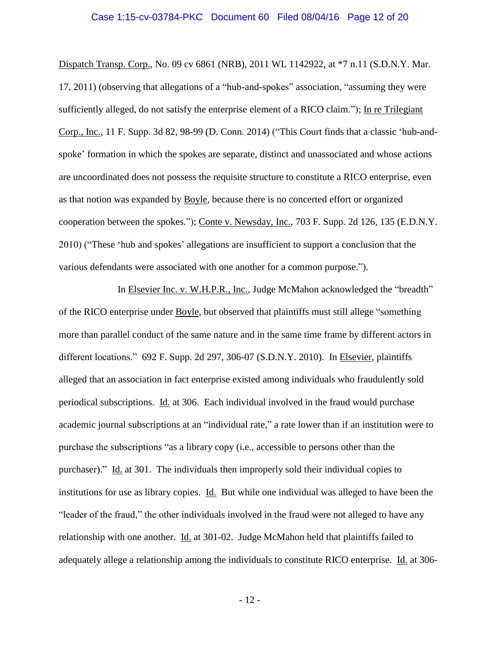## Case 1:15-cv-03784-PKC Document 60 Filed 08/04/16 Page 12 of 20

Dispatch Transp. Corp., No. 09 cv 6861 (NRB), 2011 WL 1142922, at \*7 n.11 (S.D.N.Y. Mar. 17, 2011) (observing that allegations of a "hub-and-spokes" association, "assuming they were sufficiently alleged, do not satisfy the enterprise element of a RICO claim."); In re Trilegiant Corp., Inc., 11 F. Supp. 3d 82, 98-99 (D. Conn. 2014) ("This Court finds that a classic 'hub-andspoke' formation in which the spokes are separate, distinct and unassociated and whose actions are uncoordinated does not possess the requisite structure to constitute a RICO enterprise, even as that notion was expanded by Boyle, because there is no concerted effort or organized cooperation between the spokes."); Conte v. Newsday, Inc., 703 F. Supp. 2d 126, 135 (E.D.N.Y. 2010) ("These 'hub and spokes' allegations are insufficient to support a conclusion that the various defendants were associated with one another for a common purpose.").

In Elsevier Inc. v. W.H.P.R., Inc., Judge McMahon acknowledged the "breadth" of the RICO enterprise under Boyle, but observed that plaintiffs must still allege "something more than parallel conduct of the same nature and in the same time frame by different actors in different locations." 692 F. Supp. 2d 297, 306-07 (S.D.N.Y. 2010). In Elsevier, plaintiffs alleged that an association in fact enterprise existed among individuals who fraudulently sold periodical subscriptions. Id. at 306. Each individual involved in the fraud would purchase academic journal subscriptions at an "individual rate," a rate lower than if an institution were to purchase the subscriptions "as a library copy (i.e., accessible to persons other than the purchaser)." Id. at 301. The individuals then improperly sold their individual copies to institutions for use as library copies. Id. But while one individual was alleged to have been the "leader of the fraud," the other individuals involved in the fraud were not alleged to have any relationship with one another. Id. at 301-02. Judge McMahon held that plaintiffs failed to adequately allege a relationship among the individuals to constitute RICO enterprise. Id. at 306-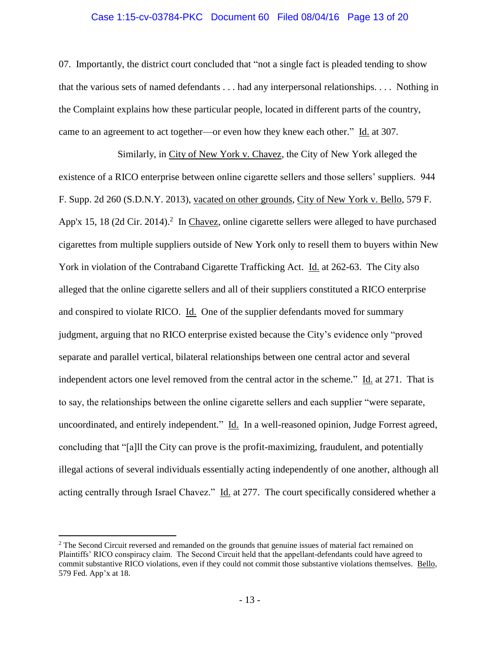## Case 1:15-cv-03784-PKC Document 60 Filed 08/04/16 Page 13 of 20

07. Importantly, the district court concluded that "not a single fact is pleaded tending to show that the various sets of named defendants . . . had any interpersonal relationships. . . . Nothing in the Complaint explains how these particular people, located in different parts of the country, came to an agreement to act together—or even how they knew each other." Id. at 307.

Similarly, in City of New York v. Chavez, the City of New York alleged the existence of a RICO enterprise between online cigarette sellers and those sellers' suppliers. 944 F. Supp. 2d 260 (S.D.N.Y. 2013), vacated on other grounds, City of New York v. Bello, 579 F. App'x 15, 18 (2d Cir. 2014).<sup>2</sup> In Chavez, online cigarette sellers were alleged to have purchased cigarettes from multiple suppliers outside of New York only to resell them to buyers within New York in violation of the Contraband Cigarette Trafficking Act. Id. at 262-63. The City also alleged that the online cigarette sellers and all of their suppliers constituted a RICO enterprise and conspired to violate RICO. Id. One of the supplier defendants moved for summary judgment, arguing that no RICO enterprise existed because the City's evidence only "proved separate and parallel vertical, bilateral relationships between one central actor and several independent actors one level removed from the central actor in the scheme." Id. at 271. That is to say, the relationships between the online cigarette sellers and each supplier "were separate, uncoordinated, and entirely independent." Id. In a well-reasoned opinion, Judge Forrest agreed, concluding that "[a]ll the City can prove is the profit-maximizing, fraudulent, and potentially illegal actions of several individuals essentially acting independently of one another, although all acting centrally through Israel Chavez." Id. at 277. The court specifically considered whether a

 $\overline{a}$ 

<sup>&</sup>lt;sup>2</sup> The Second Circuit reversed and remanded on the grounds that genuine issues of material fact remained on Plaintiffs' RICO conspiracy claim. The Second Circuit held that the appellant-defendants could have agreed to commit substantive RICO violations, even if they could not commit those substantive violations themselves. Bello, 579 Fed. App'x at 18.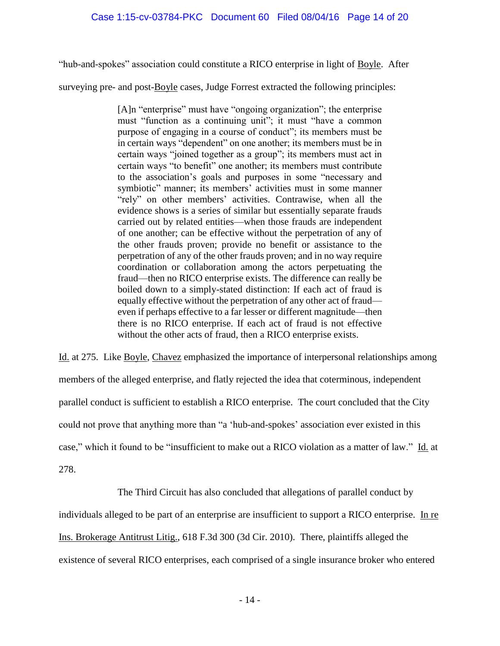"hub-and-spokes" association could constitute a RICO enterprise in light of Boyle. After

surveying pre- and post-Boyle cases, Judge Forrest extracted the following principles:

[A]n "enterprise" must have "ongoing organization"; the enterprise must "function as a continuing unit"; it must "have a common purpose of engaging in a course of conduct"; its members must be in certain ways "dependent" on one another; its members must be in certain ways "joined together as a group"; its members must act in certain ways "to benefit" one another; its members must contribute to the association's goals and purposes in some "necessary and symbiotic" manner; its members' activities must in some manner "rely" on other members' activities. Contrawise, when all the evidence shows is a series of similar but essentially separate frauds carried out by related entities—when those frauds are independent of one another; can be effective without the perpetration of any of the other frauds proven; provide no benefit or assistance to the perpetration of any of the other frauds proven; and in no way require coordination or collaboration among the actors perpetuating the fraud—then no RICO enterprise exists. The difference can really be boiled down to a simply-stated distinction: If each act of fraud is equally effective without the perpetration of any other act of fraud even if perhaps effective to a far lesser or different magnitude—then there is no RICO enterprise. If each act of fraud is not effective without the other acts of fraud, then a RICO enterprise exists.

Id. at 275. Like Boyle, Chavez emphasized the importance of interpersonal relationships among members of the alleged enterprise, and flatly rejected the idea that coterminous, independent parallel conduct is sufficient to establish a RICO enterprise. The court concluded that the City could not prove that anything more than "a 'hub-and-spokes' association ever existed in this case," which it found to be "insufficient to make out a RICO violation as a matter of law." Id. at 278.

The Third Circuit has also concluded that allegations of parallel conduct by individuals alleged to be part of an enterprise are insufficient to support a RICO enterprise. In re Ins. Brokerage Antitrust Litig., 618 F.3d 300 (3d Cir. 2010). There, plaintiffs alleged the existence of several RICO enterprises, each comprised of a single insurance broker who entered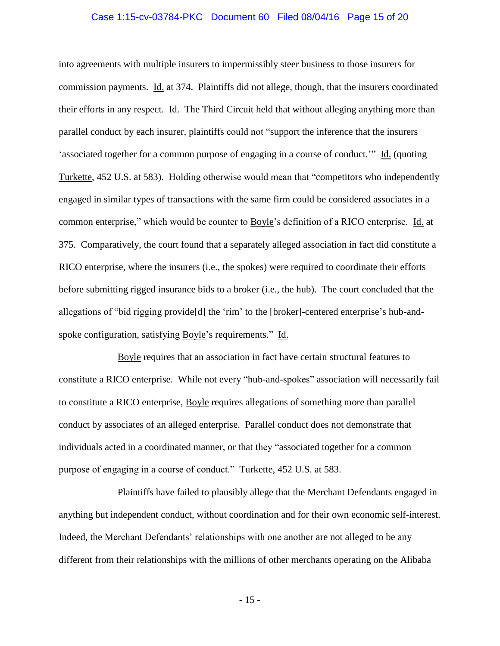## Case 1:15-cv-03784-PKC Document 60 Filed 08/04/16 Page 15 of 20

into agreements with multiple insurers to impermissibly steer business to those insurers for commission payments. Id. at 374. Plaintiffs did not allege, though, that the insurers coordinated their efforts in any respect. Id. The Third Circuit held that without alleging anything more than parallel conduct by each insurer, plaintiffs could not "support the inference that the insurers 'associated together for a common purpose of engaging in a course of conduct.'" Id. (quoting Turkette, 452 U.S. at 583). Holding otherwise would mean that "competitors who independently engaged in similar types of transactions with the same firm could be considered associates in a common enterprise," which would be counter to Boyle's definition of a RICO enterprise. Id. at 375. Comparatively, the court found that a separately alleged association in fact did constitute a RICO enterprise, where the insurers (i.e., the spokes) were required to coordinate their efforts before submitting rigged insurance bids to a broker (i.e., the hub). The court concluded that the allegations of "bid rigging provide[d] the 'rim' to the [broker]-centered enterprise's hub-andspoke configuration, satisfying Boyle's requirements." Id.

Boyle requires that an association in fact have certain structural features to constitute a RICO enterprise. While not every "hub-and-spokes" association will necessarily fail to constitute a RICO enterprise, Boyle requires allegations of something more than parallel conduct by associates of an alleged enterprise. Parallel conduct does not demonstrate that individuals acted in a coordinated manner, or that they "associated together for a common purpose of engaging in a course of conduct." Turkette, 452 U.S. at 583.

Plaintiffs have failed to plausibly allege that the Merchant Defendants engaged in anything but independent conduct, without coordination and for their own economic self-interest. Indeed, the Merchant Defendants' relationships with one another are not alleged to be any different from their relationships with the millions of other merchants operating on the Alibaba

- 15 -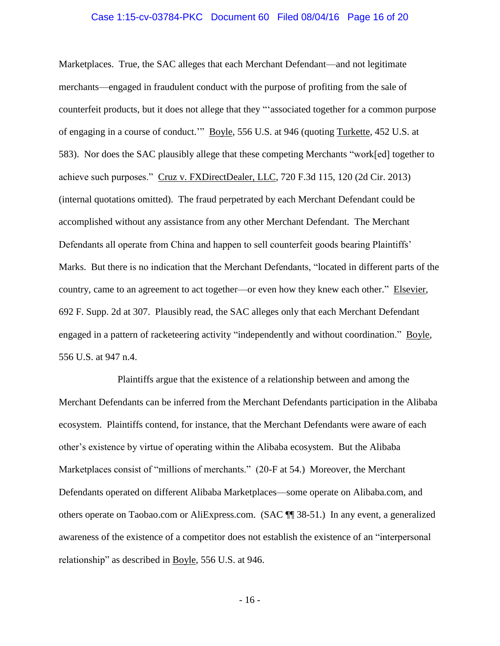## Case 1:15-cv-03784-PKC Document 60 Filed 08/04/16 Page 16 of 20

Marketplaces. True, the SAC alleges that each Merchant Defendant—and not legitimate merchants—engaged in fraudulent conduct with the purpose of profiting from the sale of counterfeit products, but it does not allege that they "'associated together for a common purpose of engaging in a course of conduct.'" Boyle, 556 U.S. at 946 (quoting Turkette, 452 U.S. at 583). Nor does the SAC plausibly allege that these competing Merchants "work[ed] together to achieve such purposes." Cruz v. FXDirectDealer, LLC, 720 F.3d 115, 120 (2d Cir. 2013) (internal quotations omitted). The fraud perpetrated by each Merchant Defendant could be accomplished without any assistance from any other Merchant Defendant. The Merchant Defendants all operate from China and happen to sell counterfeit goods bearing Plaintiffs' Marks. But there is no indication that the Merchant Defendants, "located in different parts of the country, came to an agreement to act together—or even how they knew each other." Elsevier, 692 F. Supp. 2d at 307. Plausibly read, the SAC alleges only that each Merchant Defendant engaged in a pattern of racketeering activity "independently and without coordination." Boyle, 556 U.S. at 947 n.4.

Plaintiffs argue that the existence of a relationship between and among the Merchant Defendants can be inferred from the Merchant Defendants participation in the Alibaba ecosystem. Plaintiffs contend, for instance, that the Merchant Defendants were aware of each other's existence by virtue of operating within the Alibaba ecosystem. But the Alibaba Marketplaces consist of "millions of merchants." (20-F at 54.) Moreover, the Merchant Defendants operated on different Alibaba Marketplaces—some operate on Alibaba.com, and others operate on Taobao.com or AliExpress.com. (SAC ¶¶ 38-51.) In any event, a generalized awareness of the existence of a competitor does not establish the existence of an "interpersonal relationship" as described in Boyle, 556 U.S. at 946.

- 16 -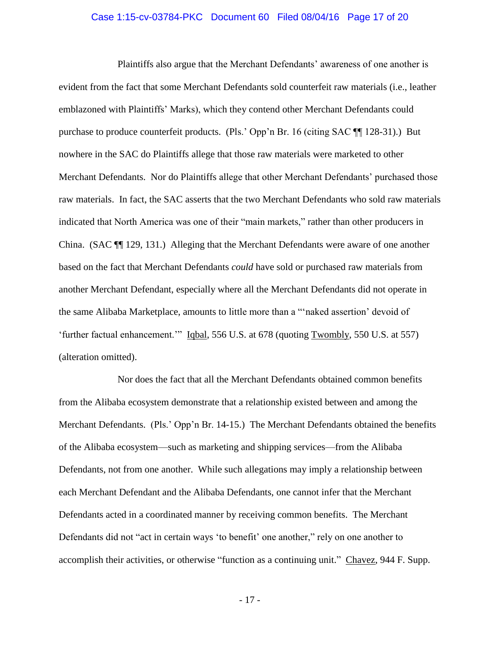## Case 1:15-cv-03784-PKC Document 60 Filed 08/04/16 Page 17 of 20

Plaintiffs also argue that the Merchant Defendants' awareness of one another is evident from the fact that some Merchant Defendants sold counterfeit raw materials (i.e., leather emblazoned with Plaintiffs' Marks), which they contend other Merchant Defendants could purchase to produce counterfeit products. (Pls.' Opp'n Br. 16 (citing SAC ¶¶ 128-31).) But nowhere in the SAC do Plaintiffs allege that those raw materials were marketed to other Merchant Defendants. Nor do Plaintiffs allege that other Merchant Defendants' purchased those raw materials. In fact, the SAC asserts that the two Merchant Defendants who sold raw materials indicated that North America was one of their "main markets," rather than other producers in China. (SAC ¶¶ 129, 131.) Alleging that the Merchant Defendants were aware of one another based on the fact that Merchant Defendants *could* have sold or purchased raw materials from another Merchant Defendant, especially where all the Merchant Defendants did not operate in the same Alibaba Marketplace, amounts to little more than a "'naked assertion' devoid of 'further factual enhancement.'" Iqbal, 556 U.S. at 678 (quoting Twombly, 550 U.S. at 557) (alteration omitted).

Nor does the fact that all the Merchant Defendants obtained common benefits from the Alibaba ecosystem demonstrate that a relationship existed between and among the Merchant Defendants. (Pls.' Opp'n Br. 14-15.) The Merchant Defendants obtained the benefits of the Alibaba ecosystem—such as marketing and shipping services—from the Alibaba Defendants, not from one another. While such allegations may imply a relationship between each Merchant Defendant and the Alibaba Defendants, one cannot infer that the Merchant Defendants acted in a coordinated manner by receiving common benefits. The Merchant Defendants did not "act in certain ways 'to benefit' one another," rely on one another to accomplish their activities, or otherwise "function as a continuing unit." Chavez, 944 F. Supp.

- 17 -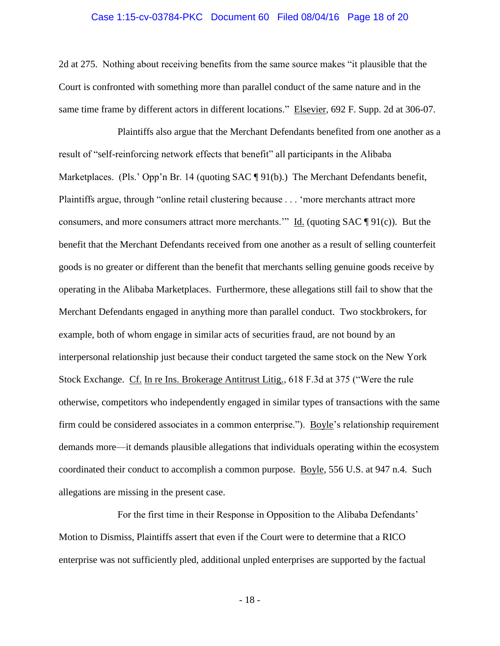## Case 1:15-cv-03784-PKC Document 60 Filed 08/04/16 Page 18 of 20

2d at 275. Nothing about receiving benefits from the same source makes "it plausible that the Court is confronted with something more than parallel conduct of the same nature and in the same time frame by different actors in different locations." Elsevier, 692 F. Supp. 2d at 306-07.

Plaintiffs also argue that the Merchant Defendants benefited from one another as a result of "self-reinforcing network effects that benefit" all participants in the Alibaba Marketplaces. (Pls.' Opp'n Br. 14 (quoting SAC ¶ 91(b).) The Merchant Defendants benefit, Plaintiffs argue, through "online retail clustering because . . . 'more merchants attract more consumers, and more consumers attract more merchants."  $\underline{Id}$ . (quoting SAC ¶ 91(c)). But the benefit that the Merchant Defendants received from one another as a result of selling counterfeit goods is no greater or different than the benefit that merchants selling genuine goods receive by operating in the Alibaba Marketplaces. Furthermore, these allegations still fail to show that the Merchant Defendants engaged in anything more than parallel conduct. Two stockbrokers, for example, both of whom engage in similar acts of securities fraud, are not bound by an interpersonal relationship just because their conduct targeted the same stock on the New York Stock Exchange. Cf. In re Ins. Brokerage Antitrust Litig., 618 F.3d at 375 ("Were the rule otherwise, competitors who independently engaged in similar types of transactions with the same firm could be considered associates in a common enterprise."). Boyle's relationship requirement demands more—it demands plausible allegations that individuals operating within the ecosystem coordinated their conduct to accomplish a common purpose. Boyle, 556 U.S. at 947 n.4. Such allegations are missing in the present case.

For the first time in their Response in Opposition to the Alibaba Defendants' Motion to Dismiss, Plaintiffs assert that even if the Court were to determine that a RICO enterprise was not sufficiently pled, additional unpled enterprises are supported by the factual

- 18 -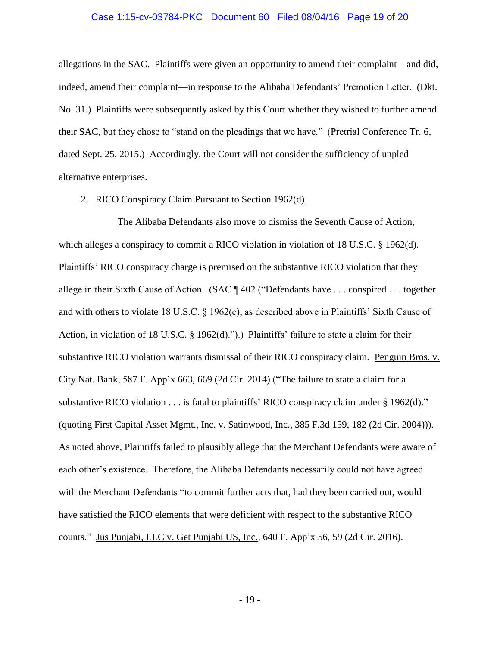## Case 1:15-cv-03784-PKC Document 60 Filed 08/04/16 Page 19 of 20

allegations in the SAC. Plaintiffs were given an opportunity to amend their complaint—and did, indeed, amend their complaint—in response to the Alibaba Defendants' Premotion Letter. (Dkt. No. 31.) Plaintiffs were subsequently asked by this Court whether they wished to further amend their SAC, but they chose to "stand on the pleadings that we have." (Pretrial Conference Tr. 6, dated Sept. 25, 2015.) Accordingly, the Court will not consider the sufficiency of unpled alternative enterprises.

## 2. RICO Conspiracy Claim Pursuant to Section 1962(d)

The Alibaba Defendants also move to dismiss the Seventh Cause of Action, which alleges a conspiracy to commit a RICO violation in violation of 18 U.S.C. § 1962(d). Plaintiffs' RICO conspiracy charge is premised on the substantive RICO violation that they allege in their Sixth Cause of Action. (SAC ¶ 402 ("Defendants have . . . conspired . . . together and with others to violate 18 U.S.C. § 1962(c), as described above in Plaintiffs' Sixth Cause of Action, in violation of 18 U.S.C. § 1962(d).").) Plaintiffs' failure to state a claim for their substantive RICO violation warrants dismissal of their RICO conspiracy claim. Penguin Bros. v. City Nat. Bank, 587 F. App'x 663, 669 (2d Cir. 2014) ("The failure to state a claim for a substantive RICO violation . . . is fatal to plaintiffs' RICO conspiracy claim under § 1962(d)." (quoting First Capital Asset Mgmt., Inc. v. Satinwood, Inc., 385 F.3d 159, 182 (2d Cir. 2004))). As noted above, Plaintiffs failed to plausibly allege that the Merchant Defendants were aware of each other's existence. Therefore, the Alibaba Defendants necessarily could not have agreed with the Merchant Defendants "to commit further acts that, had they been carried out, would have satisfied the RICO elements that were deficient with respect to the substantive RICO counts." Jus Punjabi, LLC v. Get Punjabi US, Inc., 640 F. App'x 56, 59 (2d Cir. 2016).